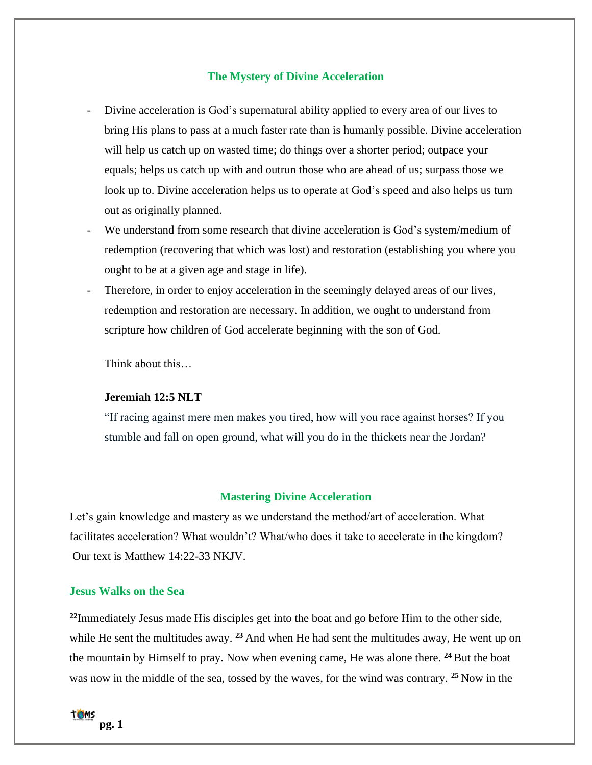# **The Mystery of Divine Acceleration**

- Divine acceleration is God's supernatural ability applied to every area of our lives to bring His plans to pass at a much faster rate than is humanly possible. Divine acceleration will help us catch up on wasted time; do things over a shorter period; outpace your equals; helps us catch up with and outrun those who are ahead of us; surpass those we look up to. Divine acceleration helps us to operate at God's speed and also helps us turn out as originally planned.
- We understand from some research that divine acceleration is God's system/medium of redemption (recovering that which was lost) and restoration (establishing you where you ought to be at a given age and stage in life).
- Therefore, in order to enjoy acceleration in the seemingly delayed areas of our lives, redemption and restoration are necessary. In addition, we ought to understand from scripture how children of God accelerate beginning with the son of God.

Think about this…

#### **Jeremiah 12:5 NLT**

"If racing against mere men makes you tired, how will you race against horses? If you stumble and fall on open ground, what will you do in the thickets near the Jordan?

### **Mastering Divine Acceleration**

Let's gain knowledge and mastery as we understand the method/art of acceleration. What facilitates acceleration? What wouldn't? What/who does it take to accelerate in the kingdom? Our text is Matthew 14:22-33 NKJV.

## **Jesus Walks on the Sea**

**<sup>22</sup>**Immediately Jesus made His disciples get into the boat and go before Him to the other side, while He sent the multitudes away. **<sup>23</sup>** And when He had sent the multitudes away, He went up on the mountain by Himself to pray. Now when evening came, He was alone there. **<sup>24</sup>** But the boat was now in the middle of the sea, tossed by the waves, for the wind was contrary. **<sup>25</sup>** Now in the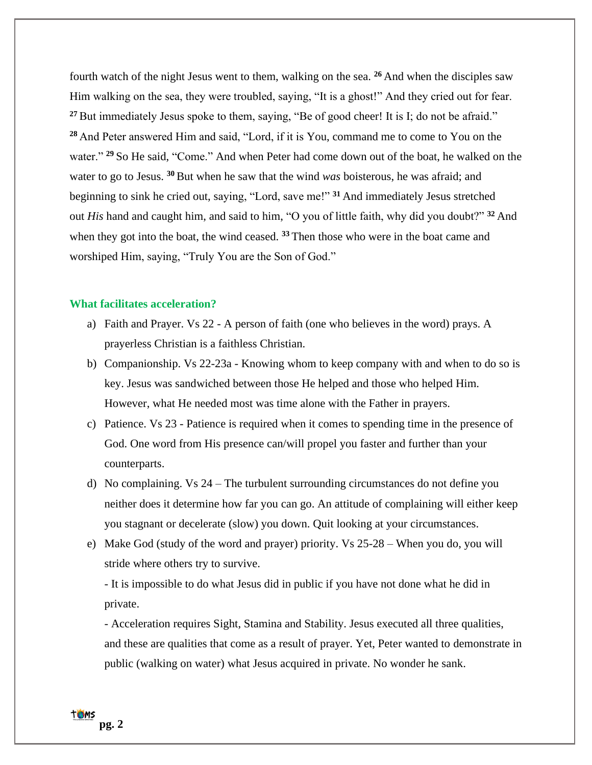fourth watch of the night Jesus went to them, walking on the sea. **<sup>26</sup>** And when the disciples saw Him walking on the sea, they were troubled, saying, "It is a ghost!" And they cried out for fear. <sup>27</sup> But immediately Jesus spoke to them, saying, "Be of good cheer! It is I; do not be afraid." **<sup>28</sup>** And Peter answered Him and said, "Lord, if it is You, command me to come to You on the water." **<sup>29</sup>** So He said, "Come." And when Peter had come down out of the boat, he walked on the water to go to Jesus. **<sup>30</sup>** But when he saw that the wind *was* boisterous, he was afraid; and beginning to sink he cried out, saying, "Lord, save me!" **<sup>31</sup>** And immediately Jesus stretched out *His* hand and caught him, and said to him, "O you of little faith, why did you doubt?" **<sup>32</sup>** And when they got into the boat, the wind ceased. <sup>33</sup> Then those who were in the boat came and worshiped Him, saying, "Truly You are the Son of God."

#### **What facilitates acceleration?**

- a) Faith and Prayer. Vs 22 A person of faith (one who believes in the word) prays. A prayerless Christian is a faithless Christian.
- b) Companionship. Vs 22-23a Knowing whom to keep company with and when to do so is key. Jesus was sandwiched between those He helped and those who helped Him. However, what He needed most was time alone with the Father in prayers.
- c) Patience. Vs 23 Patience is required when it comes to spending time in the presence of God. One word from His presence can/will propel you faster and further than your counterparts.
- d) No complaining. Vs 24 The turbulent surrounding circumstances do not define you neither does it determine how far you can go. An attitude of complaining will either keep you stagnant or decelerate (slow) you down. Quit looking at your circumstances.
- e) Make God (study of the word and prayer) priority. Vs 25-28 When you do, you will stride where others try to survive.

- It is impossible to do what Jesus did in public if you have not done what he did in private.

- Acceleration requires Sight, Stamina and Stability. Jesus executed all three qualities, and these are qualities that come as a result of prayer. Yet, Peter wanted to demonstrate in public (walking on water) what Jesus acquired in private. No wonder he sank.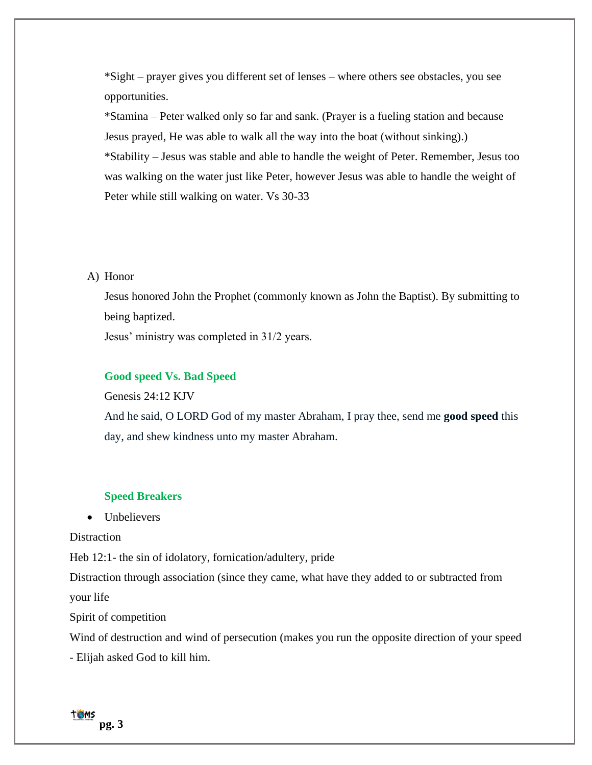\*Sight – prayer gives you different set of lenses – where others see obstacles, you see opportunities.

\*Stamina – Peter walked only so far and sank. (Prayer is a fueling station and because Jesus prayed, He was able to walk all the way into the boat (without sinking).) \*Stability – Jesus was stable and able to handle the weight of Peter. Remember, Jesus too was walking on the water just like Peter, however Jesus was able to handle the weight of Peter while still walking on water. Vs 30-33

## A) Honor

Jesus honored John the Prophet (commonly known as John the Baptist). By submitting to being baptized.

Jesus' ministry was completed in 31/2 years.

### **Good speed Vs. Bad Speed**

Genesis 24:12 KJV

And he said, O LORD God of my master Abraham, I pray thee, send me **good speed** this day, and shew kindness unto my master Abraham.

### **Speed Breakers**

# • Unbelievers

**Distraction** 

Heb 12:1- the sin of idolatory, fornication/adultery, pride

Distraction through association (since they came, what have they added to or subtracted from

your life

Spirit of competition

Wind of destruction and wind of persecution (makes you run the opposite direction of your speed

- Elijah asked God to kill him.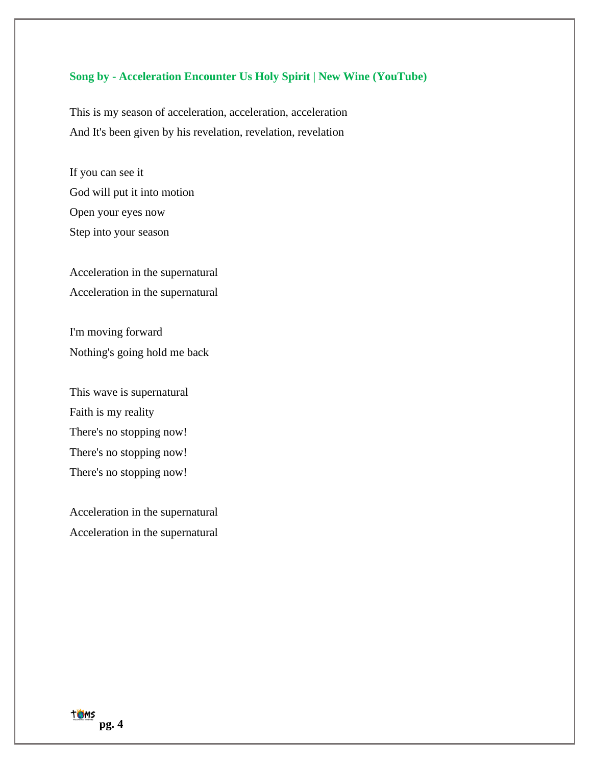## **Song by - Acceleration Encounter Us Holy Spirit | New Wine (YouTube)**

This is my season of acceleration, acceleration, acceleration And It's been given by his revelation, revelation, revelation

If you can see it God will put it into motion Open your eyes now Step into your season

Acceleration in the supernatural Acceleration in the supernatural

I'm moving forward Nothing's going hold me back

This wave is supernatural Faith is my reality There's no stopping now! There's no stopping now! There's no stopping now!

Acceleration in the supernatural Acceleration in the supernatural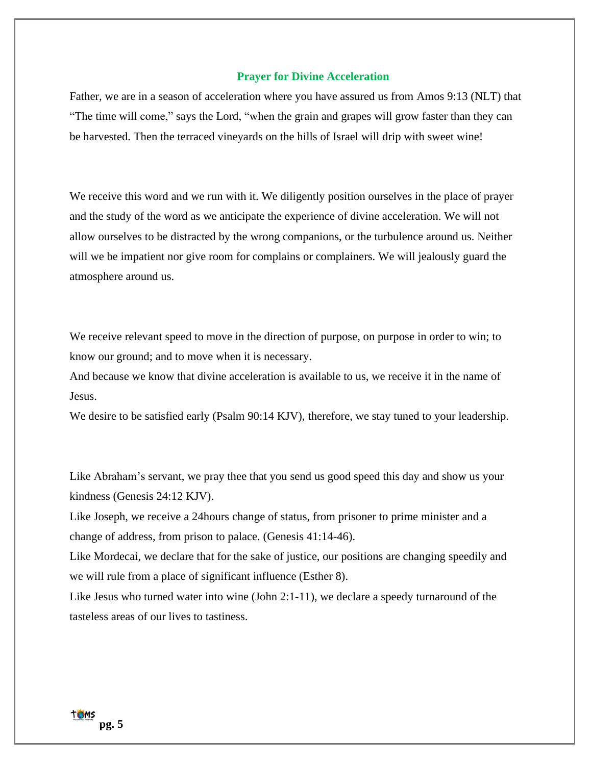### **Prayer for Divine Acceleration**

Father, we are in a season of acceleration where you have assured us from Amos 9:13 (NLT) that "The time will come," says the Lord, "when the grain and grapes will grow faster than they can be harvested. Then the terraced vineyards on the hills of Israel will drip with sweet wine!

We receive this word and we run with it. We diligently position ourselves in the place of prayer and the study of the word as we anticipate the experience of divine acceleration. We will not allow ourselves to be distracted by the wrong companions, or the turbulence around us. Neither will we be impatient nor give room for complains or complainers. We will jealously guard the atmosphere around us.

We receive relevant speed to move in the direction of purpose, on purpose in order to win; to know our ground; and to move when it is necessary.

And because we know that divine acceleration is available to us, we receive it in the name of Jesus.

We desire to be satisfied early (Psalm 90:14 KJV), therefore, we stay tuned to your leadership.

Like Abraham's servant, we pray thee that you send us good speed this day and show us your kindness (Genesis 24:12 KJV).

Like Joseph, we receive a 24hours change of status, from prisoner to prime minister and a change of address, from prison to palace. (Genesis 41:14-46).

Like Mordecai, we declare that for the sake of justice, our positions are changing speedily and we will rule from a place of significant influence (Esther 8).

Like Jesus who turned water into wine (John 2:1-11), we declare a speedy turnaround of the tasteless areas of our lives to tastiness.